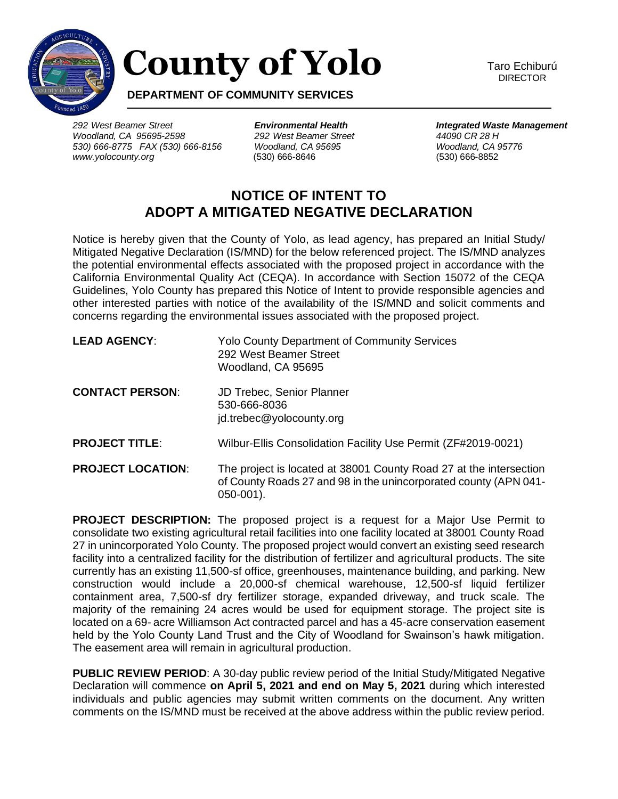

## **County of Yolo**

Taro Echiburú DIRECTOR

**DEPARTMENT OF COMMUNITY SERVICES**

*292 West Beamer Street Environmental Health Integrated Waste Management Woodland, CA 95695-2598 292 West Beamer Street 44090 CR 28 H 530) 666-8775 FAX (530) 666-8156 Woodland, CA 95695 Woodland, CA 95776 www.yolocounty.org* (530) 666-8646 (530) 666-8852

## **NOTICE OF INTENT TO ADOPT A MITIGATED NEGATIVE DECLARATION**

Notice is hereby given that the County of Yolo, as lead agency, has prepared an Initial Study/ Mitigated Negative Declaration (IS/MND) for the below referenced project. The IS/MND analyzes the potential environmental effects associated with the proposed project in accordance with the California Environmental Quality Act (CEQA). In accordance with Section 15072 of the CEQA Guidelines, Yolo County has prepared this Notice of Intent to provide responsible agencies and other interested parties with notice of the availability of the IS/MND and solicit comments and concerns regarding the environmental issues associated with the proposed project.

| <b>LEAD AGENCY:</b>      | <b>Yolo County Department of Community Services</b><br>292 West Beamer Street<br>Woodland, CA 95695                                                      |
|--------------------------|----------------------------------------------------------------------------------------------------------------------------------------------------------|
| <b>CONTACT PERSON:</b>   | <b>JD Trebec, Senior Planner</b><br>530-666-8036<br>jd.trebec@yolocounty.org                                                                             |
| <b>PROJECT TITLE:</b>    | Wilbur-Ellis Consolidation Facility Use Permit (ZF#2019-0021)                                                                                            |
| <b>PROJECT LOCATION:</b> | The project is located at 38001 County Road 27 at the intersection<br>of County Roads 27 and 98 in the unincorporated county (APN 041-<br>$050 - 001$ ). |

**PROJECT DESCRIPTION:** The proposed project is a request for a Major Use Permit to consolidate two existing agricultural retail facilities into one facility located at 38001 County Road 27 in unincorporated Yolo County. The proposed project would convert an existing seed research facility into a centralized facility for the distribution of fertilizer and agricultural products. The site currently has an existing 11,500-sf office, greenhouses, maintenance building, and parking. New construction would include a 20,000-sf chemical warehouse, 12,500-sf liquid fertilizer containment area, 7,500-sf dry fertilizer storage, expanded driveway, and truck scale. The majority of the remaining 24 acres would be used for equipment storage. The project site is located on a 69- acre Williamson Act contracted parcel and has a 45-acre conservation easement held by the Yolo County Land Trust and the City of Woodland for Swainson's hawk mitigation. The easement area will remain in agricultural production.

**PUBLIC REVIEW PERIOD:** A 30-day public review period of the Initial Study/Mitigated Negative Declaration will commence **on April 5, 2021 and end on May 5, 2021** during which interested individuals and public agencies may submit written comments on the document. Any written comments on the IS/MND must be received at the above address within the public review period.